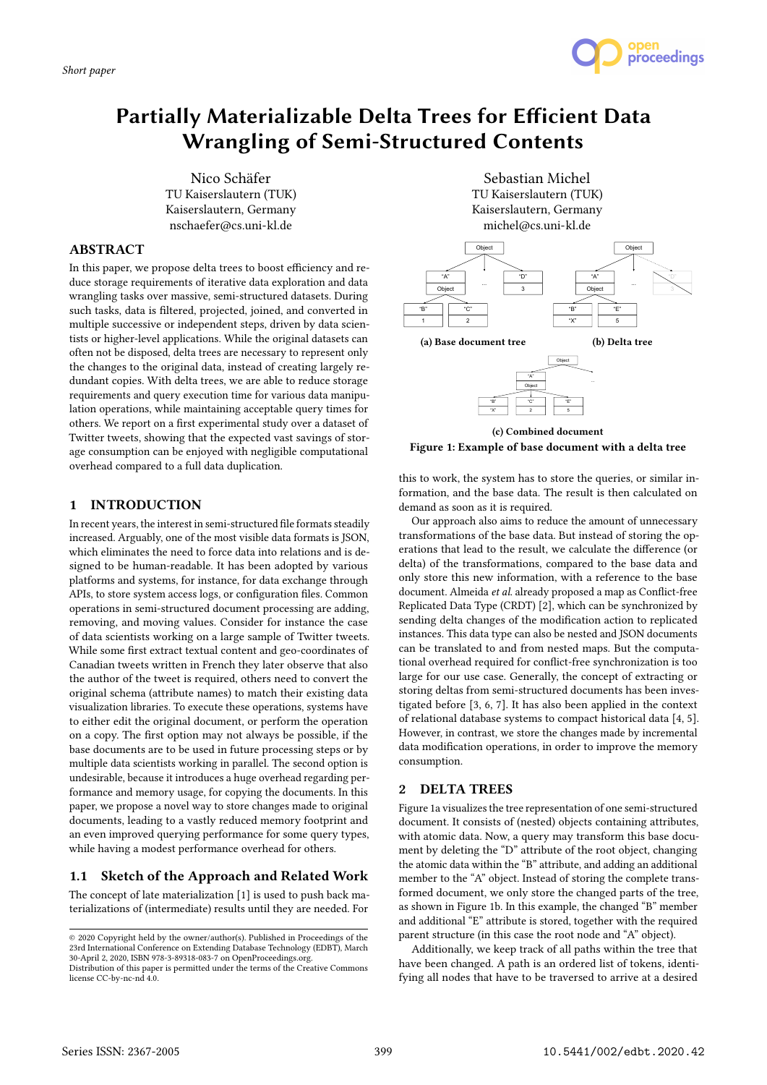*Short paper*



# Partially Materializable Delta Trees for Efficient Data Wrangling of Semi-Structured Contents

Nico Schäfer TU Kaiserslautern (TUK) Kaiserslautern, Germany nschaefer@cs.uni-kl.de

# ABSTRACT

In this paper, we propose delta trees to boost efficiency and reduce storage requirements of iterative data exploration and data wrangling tasks over massive, semi-structured datasets. During such tasks, data is filtered, projected, joined, and converted in multiple successive or independent steps, driven by data scientists or higher-level applications. While the original datasets can often not be disposed, delta trees are necessary to represent only the changes to the original data, instead of creating largely redundant copies. With delta trees, we are able to reduce storage requirements and query execution time for various data manipulation operations, while maintaining acceptable query times for others. We report on a first experimental study over a dataset of Twitter tweets, showing that the expected vast savings of storage consumption can be enjoyed with negligible computational overhead compared to a full data duplication.

## 1 INTRODUCTION

In recent years, the interest in semi-structured file formats steadily increased. Arguably, one of the most visible data formats is JSON, which eliminates the need to force data into relations and is designed to be human-readable. It has been adopted by various platforms and systems, for instance, for data exchange through APIs, to store system access logs, or configuration files. Common operations in semi-structured document processing are adding, removing, and moving values. Consider for instance the case of data scientists working on a large sample of Twitter tweets. While some first extract textual content and geo-coordinates of Canadian tweets written in French they later observe that also the author of the tweet is required, others need to convert the original schema (attribute names) to match their existing data visualization libraries. To execute these operations, systems have to either edit the original document, or perform the operation on a copy. The first option may not always be possible, if the base documents are to be used in future processing steps or by multiple data scientists working in parallel. The second option is undesirable, because it introduces a huge overhead regarding performance and memory usage, for copying the documents. In this paper, we propose a novel way to store changes made to original documents, leading to a vastly reduced memory footprint and an even improved querying performance for some query types, while having a modest performance overhead for others.

# 1.1 Sketch of the Approach and Related Work

The concept of late materialization [1] is used to push back materializations of (intermediate) results until they are needed. For

Sebastian Michel TU Kaiserslautern (TUK) Kaiserslautern, Germany michel@cs.uni-kl.de



(c) Combined document Figure 1: Example of base document with a delta tree

this to work, the system has to store the queries, or similar information, and the base data. The result is then calculated on demand as soon as it is required.

Our approach also aims to reduce the amount of unnecessary transformations of the base data. But instead of storing the operations that lead to the result, we calculate the difference (or delta) of the transformations, compared to the base data and only store this new information, with a reference to the base document. Almeida et al. already proposed a map as Conflict-free Replicated Data Type (CRDT) [2], which can be synchronized by sending delta changes of the modification action to replicated instances. This data type can also be nested and JSON documents can be translated to and from nested maps. But the computational overhead required for conflict-free synchronization is too large for our use case. Generally, the concept of extracting or storing deltas from semi-structured documents has been investigated before [3, 6, 7]. It has also been applied in the context of relational database systems to compact historical data [4, 5]. However, in contrast, we store the changes made by incremental data modification operations, in order to improve the memory consumption.

# 2 DELTA TREES

Figure 1a visualizes the tree representation of one semi-structured document. It consists of (nested) objects containing attributes, with atomic data. Now, a query may transform this base document by deleting the "D" attribute of the root object, changing the atomic data within the "B" attribute, and adding an additional member to the "A" object. Instead of storing the complete transformed document, we only store the changed parts of the tree, as shown in Figure 1b. In this example, the changed "B" member and additional "E" attribute is stored, together with the required parent structure (in this case the root node and "A" object).

Additionally, we keep track of all paths within the tree that have been changed. A path is an ordered list of tokens, identifying all nodes that have to be traversed to arrive at a desired

<sup>©</sup> 2020 Copyright held by the owner/author(s). Published in Proceedings of the 23rd International Conference on Extending Database Technology (EDBT), March 30-April 2, 2020, ISBN 978-3-89318-083-7 on OpenProceedings.org.

Distribution of this paper is permitted under the terms of the Creative Commons license CC-by-nc-nd 4.0.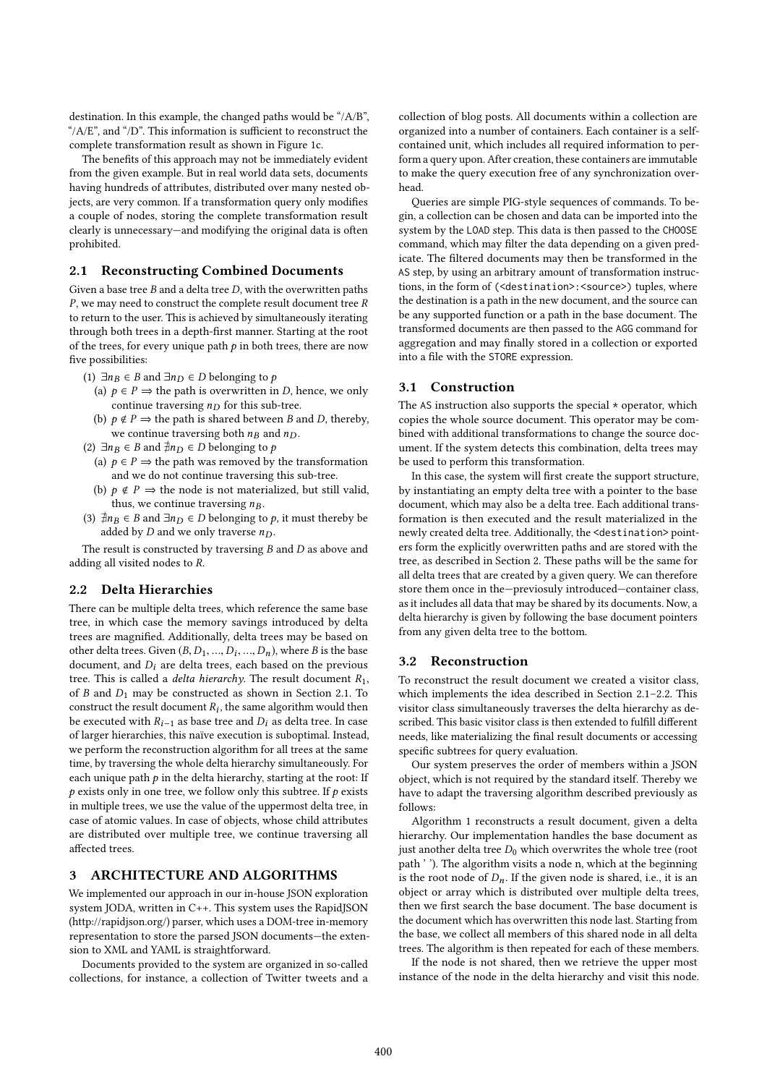destination. In this example, the changed paths would be "/A/B", "/ $A/E$ ", and "/ $D$ ". This information is sufficient to reconstruct the complete transformation result as shown in Figure 1c.

The benefits of this approach may not be immediately evident from the given example. But in real world data sets, documents having hundreds of attributes, distributed over many nested objects, are very common. If a transformation query only modifies a couple of nodes, storing the complete transformation result clearly is unnecessary—and modifying the original data is often prohibited.

#### 2.1 Reconstructing Combined Documents

Given a base tree  $B$  and a delta tree  $D$ , with the overwritten paths P, we may need to construct the complete result document tree R to return to the user. This is achieved by simultaneously iterating through both trees in a depth-first manner. Starting at the root of the trees, for every unique path  $p$  in both trees, there are now five possibilities:

- (1)  $\exists n_B \in B$  and  $\exists n_D \in D$  belonging to p
	- (a)  $p \in P \implies$  the path is overwritten in D, hence, we only continue traversing  $n_D$  for this sub-tree.
	- (b)  $p \notin P \implies$  the path is shared between B and D, thereby, we continue traversing both  $n_B$  and  $n_D$ .
- (2)  $\exists n_B \in B$  and  $\neq n_D \in D$  belonging to p
	- (a)  $p \in P \implies$  the path was removed by the transformation and we do not continue traversing this sub-tree.
- (b)  $p \notin P \implies$  the node is not materialized, but still valid, thus, we continue traversing  $n_B$ .
- (3)  $\exists n_B \in B$  and  $\exists n_D \in D$  belonging to p, it must thereby be added by  $D$  and we only traverse  $n_D$ .

The result is constructed by traversing  $B$  and  $D$  as above and adding all visited nodes to R.

## 2.2 Delta Hierarchies

There can be multiple delta trees, which reference the same base tree, in which case the memory savings introduced by delta trees are magnified. Additionally, delta trees may be based on other delta trees. Given  $(B, D_1, ..., D_i, ..., D_n)$ , where B is the base<br>document, and D; are delta trees, each based on the previous document, and  $D_i$  are delta trees, each based on the previous tree. This is called a *delta hierarchy*. The result document  $R_1$ , of B and  $D_1$  may be constructed as shown in Section 2.1. To construct the result document  $R_i$ , the same algorithm would then be executed with  $R_{i-1}$  as base tree and  $D_i$  as delta tree. In case of larger hierarchies, this naïve execution is suboptimal. Instead, we perform the reconstruction algorithm for all trees at the same time, by traversing the whole delta hierarchy simultaneously. For each unique path  $p$  in the delta hierarchy, starting at the root: If  $p$  exists only in one tree, we follow only this subtree. If  $p$  exists in multiple trees, we use the value of the uppermost delta tree, in case of atomic values. In case of objects, whose child attributes are distributed over multiple tree, we continue traversing all affected trees.

## 3 ARCHITECTURE AND ALGORITHMS

We implemented our approach in our in-house JSON exploration system JODA, written in C++. This system uses the RapidJSON (http://rapidjson.org/) parser, which uses a DOM-tree in-memory representation to store the parsed JSON documents—the extension to XML and YAML is straightforward.

Documents provided to the system are organized in so-called collections, for instance, a collection of Twitter tweets and a

collection of blog posts. All documents within a collection are organized into a number of containers. Each container is a selfcontained unit, which includes all required information to perform a query upon. After creation, these containers are immutable to make the query execution free of any synchronization overhead.

Queries are simple PIG-style sequences of commands. To begin, a collection can be chosen and data can be imported into the system by the LOAD step. This data is then passed to the CHOOSE command, which may filter the data depending on a given predicate. The filtered documents may then be transformed in the AS step, by using an arbitrary amount of transformation instructions, in the form of (<destination>:<source>) tuples, where the destination is a path in the new document, and the source can be any supported function or a path in the base document. The transformed documents are then passed to the AGG command for aggregation and may finally stored in a collection or exported into a file with the STORE expression.

## 3.1 Construction

The AS instruction also supports the special  $*$  operator, which copies the whole source document. This operator may be combined with additional transformations to change the source document. If the system detects this combination, delta trees may be used to perform this transformation.

In this case, the system will first create the support structure, by instantiating an empty delta tree with a pointer to the base document, which may also be a delta tree. Each additional transformation is then executed and the result materialized in the newly created delta tree. Additionally, the <destination> pointers form the explicitly overwritten paths and are stored with the tree, as described in Section 2. These paths will be the same for all delta trees that are created by a given query. We can therefore store them once in the—previosuly introduced—container class, as it includes all data that may be shared by its documents. Now, a delta hierarchy is given by following the base document pointers from any given delta tree to the bottom.

#### 3.2 Reconstruction

To reconstruct the result document we created a visitor class, which implements the idea described in Section 2.1–2.2. This visitor class simultaneously traverses the delta hierarchy as described. This basic visitor class is then extended to fulfill different needs, like materializing the final result documents or accessing specific subtrees for query evaluation.

Our system preserves the order of members within a JSON object, which is not required by the standard itself. Thereby we have to adapt the traversing algorithm described previously as follows:

Algorithm 1 reconstructs a result document, given a delta hierarchy. Our implementation handles the base document as just another delta tree  $D_0$  which overwrites the whole tree (root path ' '). The algorithm visits a node n, which at the beginning is the root node of  $D_n$ . If the given node is shared, i.e., it is an object or array which is distributed over multiple delta trees, then we first search the base document. The base document is the document which has overwritten this node last. Starting from the base, we collect all members of this shared node in all delta trees. The algorithm is then repeated for each of these members.

If the node is not shared, then we retrieve the upper most instance of the node in the delta hierarchy and visit this node.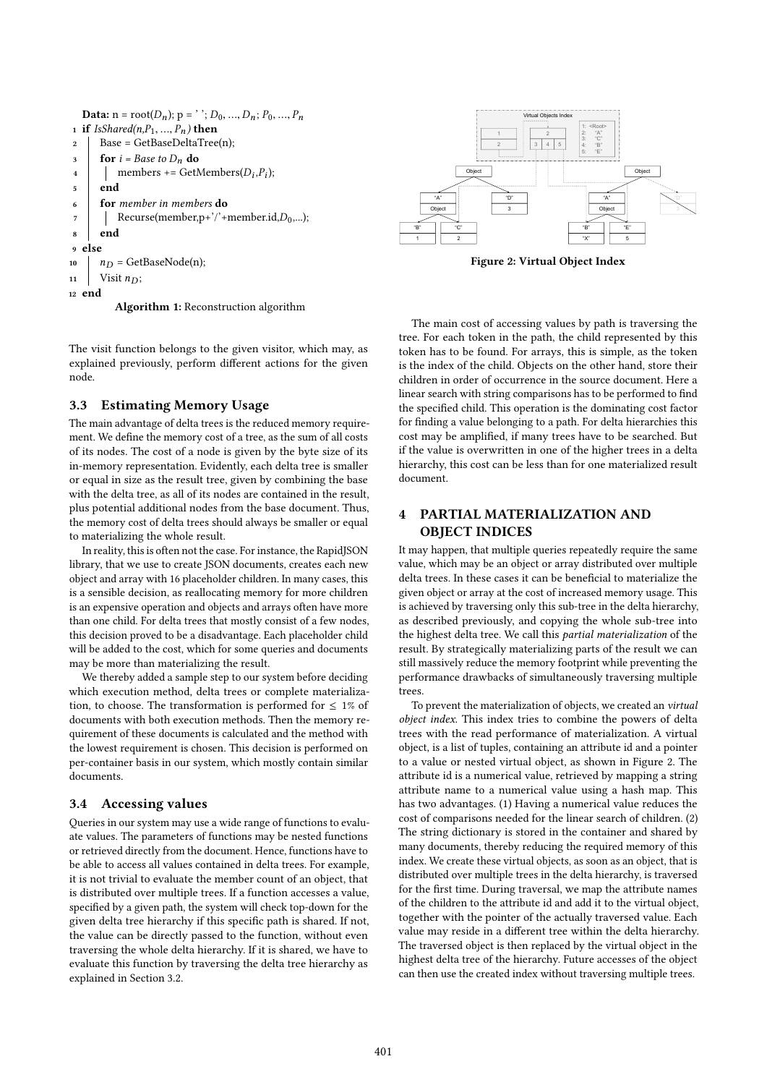```
Data: n = root(D_n); p = '': D_0, ..., D_n; P_0, ..., P_n1 if IsShared(n, P_1, ..., P_n) then<br>2 | Base = GetBaseDeltaTree
      Base = GetBaseDeltaTree(n);3 \int for i = Base to D_n do
 4 members += GetMembers(D_i, P_i);
5 \mid end6 for member in members do
7 Recurse(member, p+''+member.id, D_0,...);
8 end
9 else
10 n_D = GetBaseNode(n);
11 Visit n_D:
12 end
```
Algorithm 1: Reconstruction algorithm

The visit function belongs to the given visitor, which may, as explained previously, perform different actions for the given node.

## 3.3 Estimating Memory Usage

The main advantage of delta trees is the reduced memory requirement. We define the memory cost of a tree, as the sum of all costs of its nodes. The cost of a node is given by the byte size of its in-memory representation. Evidently, each delta tree is smaller or equal in size as the result tree, given by combining the base with the delta tree, as all of its nodes are contained in the result, plus potential additional nodes from the base document. Thus, the memory cost of delta trees should always be smaller or equal to materializing the whole result.

In reality, this is often not the case. For instance, the RapidJSON library, that we use to create JSON documents, creates each new object and array with 16 placeholder children. In many cases, this is a sensible decision, as reallocating memory for more children is an expensive operation and objects and arrays often have more than one child. For delta trees that mostly consist of a few nodes, this decision proved to be a disadvantage. Each placeholder child will be added to the cost, which for some queries and documents may be more than materializing the result.

We thereby added a sample step to our system before deciding which execution method, delta trees or complete materialization, to choose. The transformation is performed for  $\leq 1\%$  of documents with both execution methods. Then the memory requirement of these documents is calculated and the method with the lowest requirement is chosen. This decision is performed on per-container basis in our system, which mostly contain similar documents.

## 3.4 Accessing values

Queries in our system may use a wide range of functions to evaluate values. The parameters of functions may be nested functions or retrieved directly from the document. Hence, functions have to be able to access all values contained in delta trees. For example, it is not trivial to evaluate the member count of an object, that is distributed over multiple trees. If a function accesses a value, specified by a given path, the system will check top-down for the given delta tree hierarchy if this specific path is shared. If not, the value can be directly passed to the function, without even traversing the whole delta hierarchy. If it is shared, we have to evaluate this function by traversing the delta tree hierarchy as explained in Section 3.2.



Figure 2: Virtual Object Index

The main cost of accessing values by path is traversing the tree. For each token in the path, the child represented by this token has to be found. For arrays, this is simple, as the token is the index of the child. Objects on the other hand, store their children in order of occurrence in the source document. Here a linear search with string comparisons has to be performed to find the specified child. This operation is the dominating cost factor for finding a value belonging to a path. For delta hierarchies this cost may be amplified, if many trees have to be searched. But if the value is overwritten in one of the higher trees in a delta hierarchy, this cost can be less than for one materialized result document.

# 4 PARTIAL MATERIALIZATION AND OBJECT INDICES

It may happen, that multiple queries repeatedly require the same value, which may be an object or array distributed over multiple delta trees. In these cases it can be beneficial to materialize the given object or array at the cost of increased memory usage. This is achieved by traversing only this sub-tree in the delta hierarchy, as described previously, and copying the whole sub-tree into the highest delta tree. We call this partial materialization of the result. By strategically materializing parts of the result we can still massively reduce the memory footprint while preventing the performance drawbacks of simultaneously traversing multiple trees.

To prevent the materialization of objects, we created an virtual object index. This index tries to combine the powers of delta trees with the read performance of materialization. A virtual object, is a list of tuples, containing an attribute id and a pointer to a value or nested virtual object, as shown in Figure 2. The attribute id is a numerical value, retrieved by mapping a string attribute name to a numerical value using a hash map. This has two advantages. (1) Having a numerical value reduces the cost of comparisons needed for the linear search of children. (2) The string dictionary is stored in the container and shared by many documents, thereby reducing the required memory of this index. We create these virtual objects, as soon as an object, that is distributed over multiple trees in the delta hierarchy, is traversed for the first time. During traversal, we map the attribute names of the children to the attribute id and add it to the virtual object, together with the pointer of the actually traversed value. Each value may reside in a different tree within the delta hierarchy. The traversed object is then replaced by the virtual object in the highest delta tree of the hierarchy. Future accesses of the object can then use the created index without traversing multiple trees.